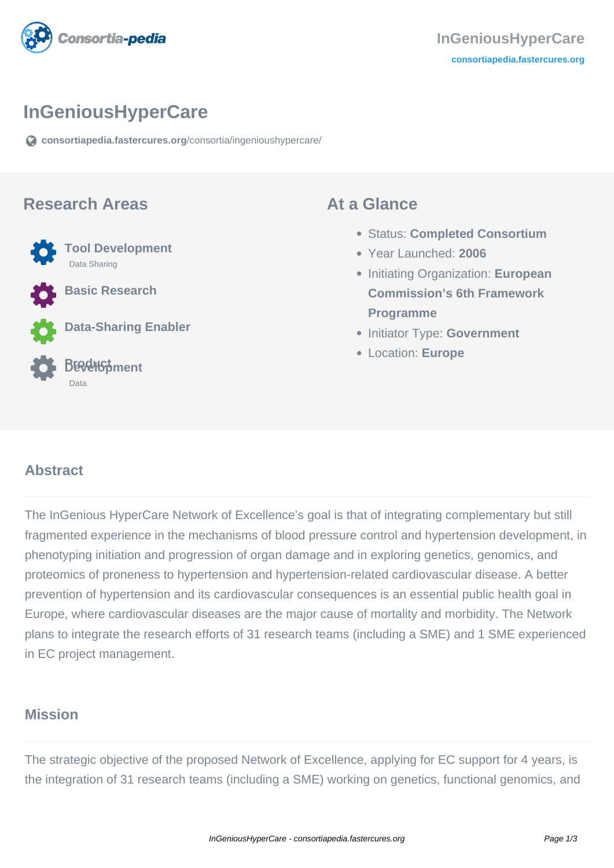

### **InGeniousHyperCare**

**[consortiapedia.fastercures.org](https://consortiapedia.fastercures.org/consortia/ingenioushypercare/)**[/consortia/ingenioushypercare/](https://consortiapedia.fastercures.org/consortia/ingenioushypercare/)

#### **Research Areas**



**Basic Research**

**Data-Sharing Enabler**

#### **Product Development** Data

#### **At a Glance**

- Status: **Completed Consortium**
- Year Launched: **2006**
- **Initiating Organization: European Commission's 6th Framework Programme**
- **Initiator Type: Government**
- Location: **Europe**

#### $\overline{a}$ **Abstract**

The InGenious HyperCare Network of Excellence's goal is that of integrating complementary but still fragmented experience in the mechanisms of blood pressure control and hypertension development, in phenotyping initiation and progression of organ damage and in exploring genetics, genomics, and proteomics of proneness to hypertension and hypertension-related cardiovascular disease. A better prevention of hypertension and its cardiovascular consequences is an essential public health goal in Europe, where cardiovascular diseases are the major cause of mortality and morbidity. The Network plans to integrate the research efforts of 31 research teams (including a SME) and 1 SME experienced in EC project management.

#### **Mission**

The strategic objective of the proposed Network of Excellence, applying for EC support for 4 years, is the integration of 31 research teams (including a SME) working on genetics, functional genomics, and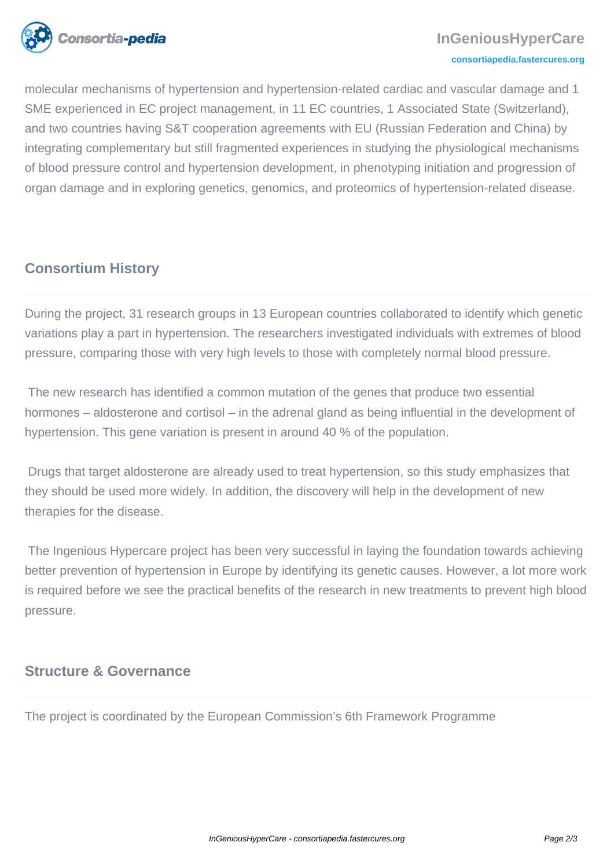

molecular mechanisms of hypertension and hypertension-related cardiac and vascular damage and 1 SME experienced in EC project management, in 11 EC countries, 1 Associated State (Switzerland), and two countries having S&T cooperation agreements with EU (Russian Federation and China) by integrating complementary but still fragmented experiences in studying the physiological mechanisms of blood pressure control and hypertension development, in phenotyping initiation and progression of organ damage and in exploring genetics, genomics, and proteomics of hypertension-related disease.

# **Consortium History**

During the project, 31 research groups in 13 European countries collaborated to identify which genetic variations play a part in hypertension. The researchers investigated individuals with extremes of blood pressure, comparing those with very high levels to those with completely normal blood pressure.

 The new research has identified a common mutation of the genes that produce two essential hormones – aldosterone and cortisol – in the adrenal gland as being influential in the development of hypertension. This gene variation is present in around 40 % of the population.

 Drugs that target aldosterone are already used to treat hypertension, so this study emphasizes that they should be used more widely. In addition, the discovery will help in the development of new therapies for the disease.

 The Ingenious Hypercare project has been very successful in laying the foundation towards achieving better prevention of hypertension in Europe by identifying its genetic causes. However, a lot more work is required before we see the practical benefits of the research in new treatments to prevent high blood pressure.

#### **Structure & Governance**

The project is coordinated by the European Commission's 6th Framework Programme